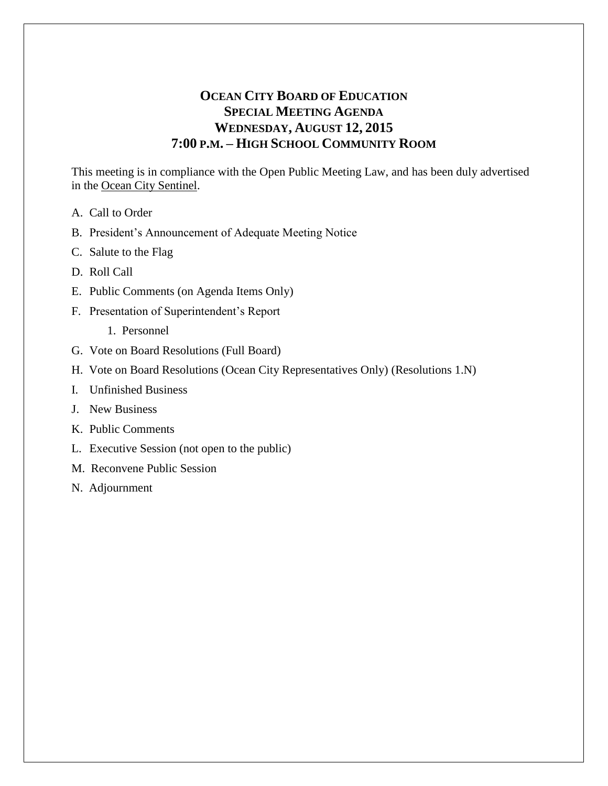## **OCEAN CITY BOARD OF EDUCATION SPECIAL MEETING AGENDA WEDNESDAY, AUGUST 12, 2015 7:00 P.M. – HIGH SCHOOL COMMUNITY ROOM**

This meeting is in compliance with the Open Public Meeting Law, and has been duly advertised in the Ocean City Sentinel.

- A. Call to Order
- B. President's Announcement of Adequate Meeting Notice
- C. Salute to the Flag
- D. Roll Call
- E. Public Comments (on Agenda Items Only)
- F. Presentation of Superintendent's Report
	- 1. Personnel
- G. Vote on Board Resolutions (Full Board)
- H. Vote on Board Resolutions (Ocean City Representatives Only) (Resolutions 1.N)
- I. Unfinished Business
- J. New Business
- K. Public Comments
- L. Executive Session (not open to the public)
- M. Reconvene Public Session
- N. Adjournment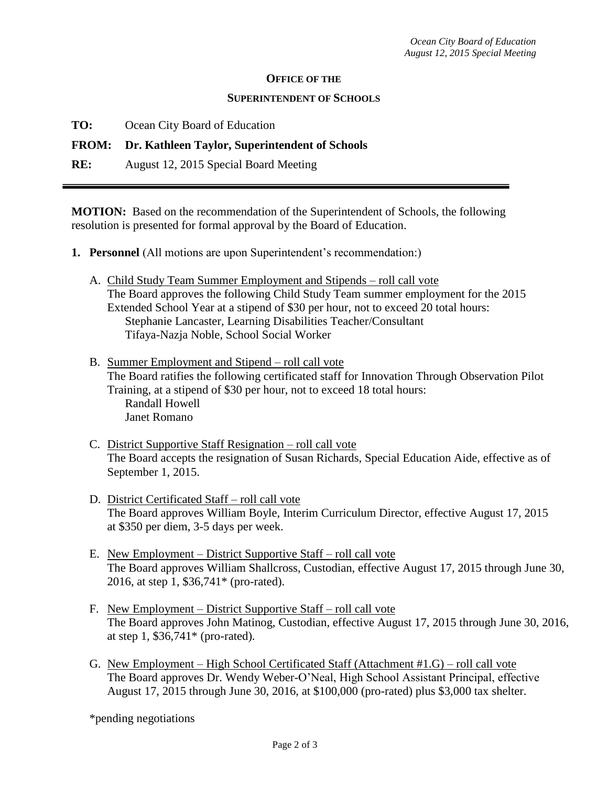## **OFFICE OF THE**

## **SUPERINTENDENT OF SCHOOLS**

**TO:** Ocean City Board of Education

## **FROM: Dr. Kathleen Taylor, Superintendent of Schools**

**RE:** August 12, 2015 Special Board Meeting

**MOTION:** Based on the recommendation of the Superintendent of Schools, the following resolution is presented for formal approval by the Board of Education.

- **1. Personnel** (All motions are upon Superintendent's recommendation:)
	- A. Child Study Team Summer Employment and Stipends roll call vote The Board approves the following Child Study Team summer employment for the 2015 Extended School Year at a stipend of \$30 per hour, not to exceed 20 total hours: Stephanie Lancaster, Learning Disabilities Teacher/Consultant Tifaya-Nazja Noble, School Social Worker
	- B. Summer Employment and Stipend roll call vote The Board ratifies the following certificated staff for Innovation Through Observation Pilot Training, at a stipend of \$30 per hour, not to exceed 18 total hours: Randall Howell Janet Romano
	- C. District Supportive Staff Resignation roll call vote The Board accepts the resignation of Susan Richards, Special Education Aide, effective as of September 1, 2015.
	- D. District Certificated Staff roll call vote The Board approves William Boyle, Interim Curriculum Director, effective August 17, 2015 at \$350 per diem, 3-5 days per week.
	- E. New Employment District Supportive Staff roll call vote The Board approves William Shallcross, Custodian, effective August 17, 2015 through June 30, 2016, at step 1, \$36,741\* (pro-rated).
	- F. New Employment District Supportive Staff roll call vote The Board approves John Matinog, Custodian, effective August 17, 2015 through June 30, 2016, at step 1, \$36,741\* (pro-rated).
	- G. New Employment High School Certificated Staff (Attachment #1.G) roll call vote The Board approves Dr. Wendy Weber-O'Neal, High School Assistant Principal, effective August 17, 2015 through June 30, 2016, at \$100,000 (pro-rated) plus \$3,000 tax shelter.

\*pending negotiations